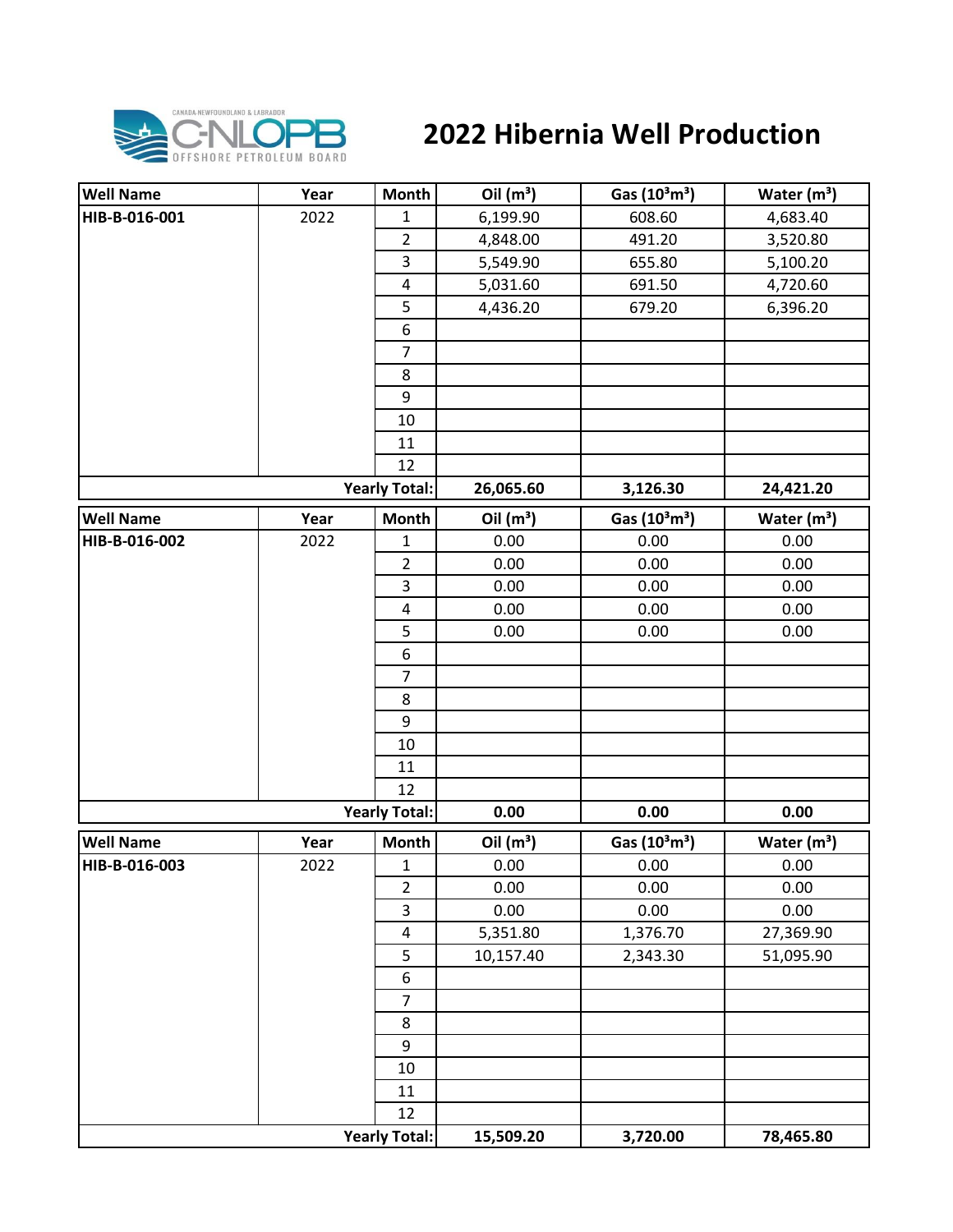

## **2022 Hibernia Well Production**

| <b>Well Name</b> | Year | <b>Month</b>            | Oil $(m^3)$ | Gas (10 <sup>3</sup> m <sup>3</sup> ) | Water $(m^3)$           |
|------------------|------|-------------------------|-------------|---------------------------------------|-------------------------|
| HIB-B-016-001    | 2022 | $\mathbf{1}$            | 6,199.90    | 608.60                                | 4,683.40                |
|                  |      | $\overline{2}$          | 4,848.00    | 491.20                                | 3,520.80                |
|                  |      | 3                       | 5,549.90    | 655.80                                | 5,100.20                |
|                  |      | 4                       | 5,031.60    | 691.50                                | 4,720.60                |
|                  |      | 5                       | 4,436.20    | 679.20                                | 6,396.20                |
|                  |      | 6                       |             |                                       |                         |
|                  |      | $\overline{7}$          |             |                                       |                         |
|                  |      | 8                       |             |                                       |                         |
|                  |      | 9                       |             |                                       |                         |
|                  |      | 10                      |             |                                       |                         |
|                  |      | 11                      |             |                                       |                         |
|                  |      | 12                      |             |                                       |                         |
|                  |      | <b>Yearly Total:</b>    | 26,065.60   | 3,126.30                              | 24,421.20               |
| <b>Well Name</b> | Year | <b>Month</b>            | Oil $(m^3)$ | Gas $(10^3 \text{m}^3)$               | Water $(m3)$            |
| HIB-B-016-002    | 2022 | 1                       | 0.00        | 0.00                                  | 0.00                    |
|                  |      | $\overline{2}$          | 0.00        | 0.00                                  | 0.00                    |
|                  |      | 3                       | 0.00        | 0.00                                  | 0.00                    |
|                  |      | 4                       | 0.00        | 0.00                                  | 0.00                    |
|                  |      | 5                       | 0.00        | 0.00                                  | 0.00                    |
|                  |      | 6                       |             |                                       |                         |
|                  |      | $\overline{7}$          |             |                                       |                         |
|                  |      | 8                       |             |                                       |                         |
|                  |      | 9                       |             |                                       |                         |
|                  |      | 10                      |             |                                       |                         |
|                  |      | 11                      |             |                                       |                         |
|                  |      | 12                      |             |                                       |                         |
|                  |      | <b>Yearly Total:</b>    | 0.00        | 0.00                                  | 0.00                    |
| <b>Well Name</b> | Year | <b>Month</b>            | Oil $(m^3)$ | Gas (10 <sup>3</sup> m <sup>3</sup> ) | Water (m <sup>3</sup> ) |
| HIB-B-016-003    | 2022 | $\mathbf{1}$            | 0.00        | 0.00                                  | 0.00                    |
|                  |      | $\overline{2}$          | 0.00        | 0.00                                  | 0.00                    |
|                  |      | 3                       | 0.00        | 0.00                                  | 0.00                    |
|                  |      | $\overline{\mathbf{4}}$ | 5,351.80    | 1,376.70                              | 27,369.90               |
|                  |      | 5                       | 10,157.40   | 2,343.30                              | 51,095.90               |
|                  |      | 6                       |             |                                       |                         |
|                  |      | $\overline{7}$          |             |                                       |                         |
|                  |      | 8                       |             |                                       |                         |
|                  |      | 9                       |             |                                       |                         |
|                  |      | $10\,$                  |             |                                       |                         |
|                  |      | 11                      |             |                                       |                         |
|                  |      | 12                      |             |                                       |                         |
|                  |      | <b>Yearly Total:</b>    | 15,509.20   | 3,720.00                              | 78,465.80               |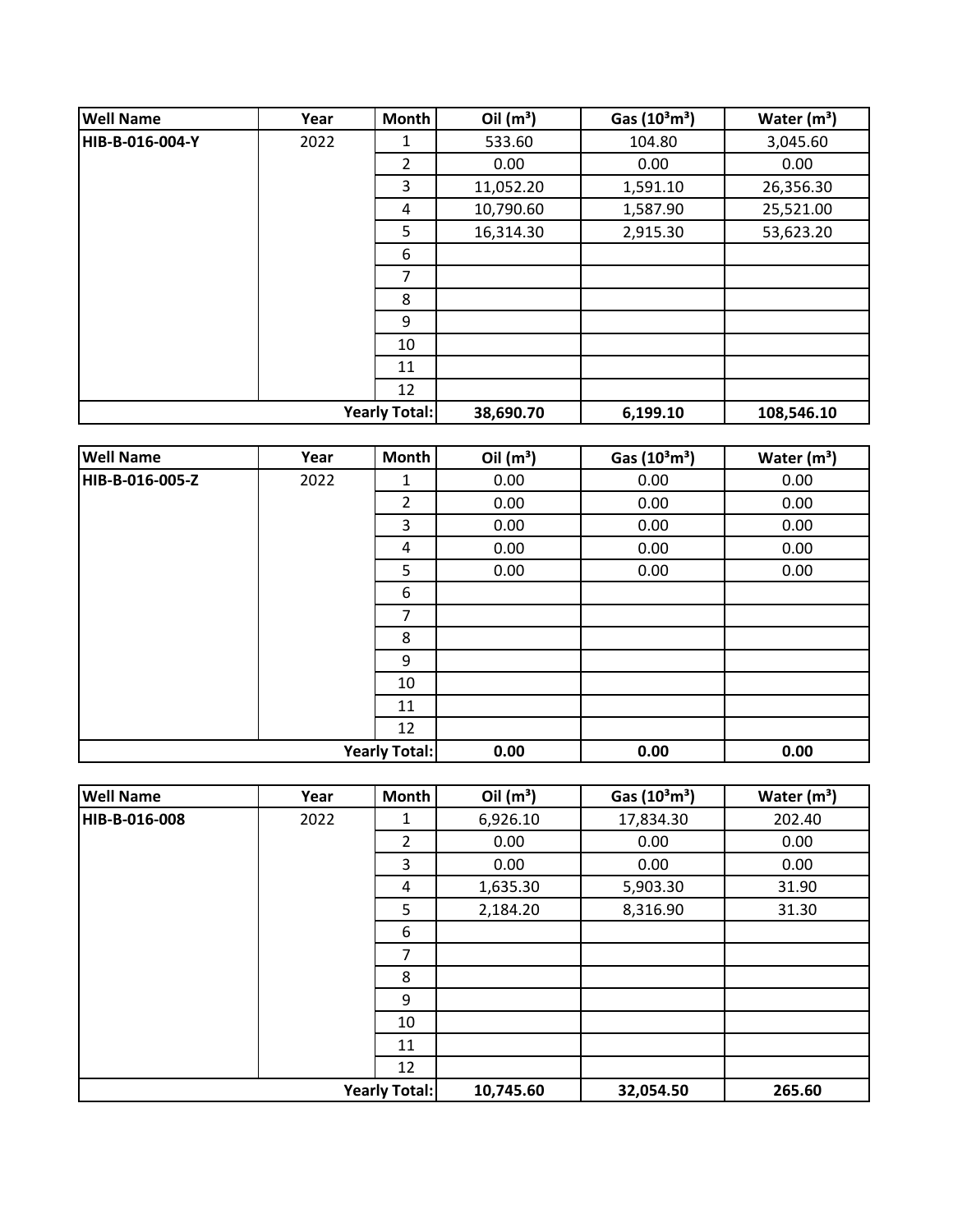| <b>Well Name</b>     | Year | Month | Oil $(m^3)$ | Gas $(10^3 \text{m}^3)$ | Water $(m^3)$ |
|----------------------|------|-------|-------------|-------------------------|---------------|
| HIB-B-016-004-Y      | 2022 | 1     | 533.60      | 104.80                  | 3,045.60      |
|                      |      | 2     | 0.00        | 0.00                    | 0.00          |
|                      |      | 3     | 11,052.20   | 1,591.10                | 26,356.30     |
|                      |      | 4     | 10,790.60   | 1,587.90                | 25,521.00     |
|                      |      | 5     | 16,314.30   | 2,915.30                | 53,623.20     |
|                      |      | 6     |             |                         |               |
|                      |      | 7     |             |                         |               |
|                      |      | 8     |             |                         |               |
|                      |      | 9     |             |                         |               |
|                      |      | 10    |             |                         |               |
|                      |      | 11    |             |                         |               |
|                      |      | 12    |             |                         |               |
| <b>Yearly Total:</b> |      |       | 38,690.70   | 6,199.10                | 108,546.10    |

| <b>Well Name</b>     | Year | Month          | Oil $(m^3)$ | Gas (10 <sup>3</sup> m <sup>3</sup> ) | Water $(m^3)$ |
|----------------------|------|----------------|-------------|---------------------------------------|---------------|
| HIB-B-016-005-Z      | 2022 | 1              | 0.00        | 0.00                                  | 0.00          |
|                      |      | $\overline{2}$ | 0.00        | 0.00                                  | 0.00          |
|                      |      | 3              | 0.00        | 0.00                                  | 0.00          |
|                      |      | 4              | 0.00        | 0.00                                  | 0.00          |
|                      |      | 5              | 0.00        | 0.00                                  | 0.00          |
|                      |      | 6              |             |                                       |               |
|                      |      | $\overline{7}$ |             |                                       |               |
|                      |      | 8              |             |                                       |               |
|                      |      | 9              |             |                                       |               |
|                      |      | 10             |             |                                       |               |
|                      |      | 11             |             |                                       |               |
|                      |      | 12             |             |                                       |               |
| <b>Yearly Total:</b> |      |                | 0.00        | 0.00                                  | 0.00          |

| <b>Well Name</b>     | Year | Month          | Oil $(m^3)$ | Gas $(10^3 \text{m}^3)$ | Water $(m^3)$ |
|----------------------|------|----------------|-------------|-------------------------|---------------|
| HIB-B-016-008        | 2022 | 1              | 6,926.10    | 17,834.30               | 202.40        |
|                      |      | $\overline{2}$ | 0.00        | 0.00                    | 0.00          |
|                      |      | 3              | 0.00        | 0.00                    | 0.00          |
|                      |      | 4              | 1,635.30    | 5,903.30                | 31.90         |
|                      |      | 5              | 2,184.20    | 8,316.90                | 31.30         |
|                      |      | 6              |             |                         |               |
|                      |      | 7              |             |                         |               |
|                      |      | 8              |             |                         |               |
|                      |      | 9              |             |                         |               |
|                      |      | 10             |             |                         |               |
|                      |      | 11             |             |                         |               |
|                      |      | 12             |             |                         |               |
| <b>Yearly Total:</b> |      | 10,745.60      | 32,054.50   | 265.60                  |               |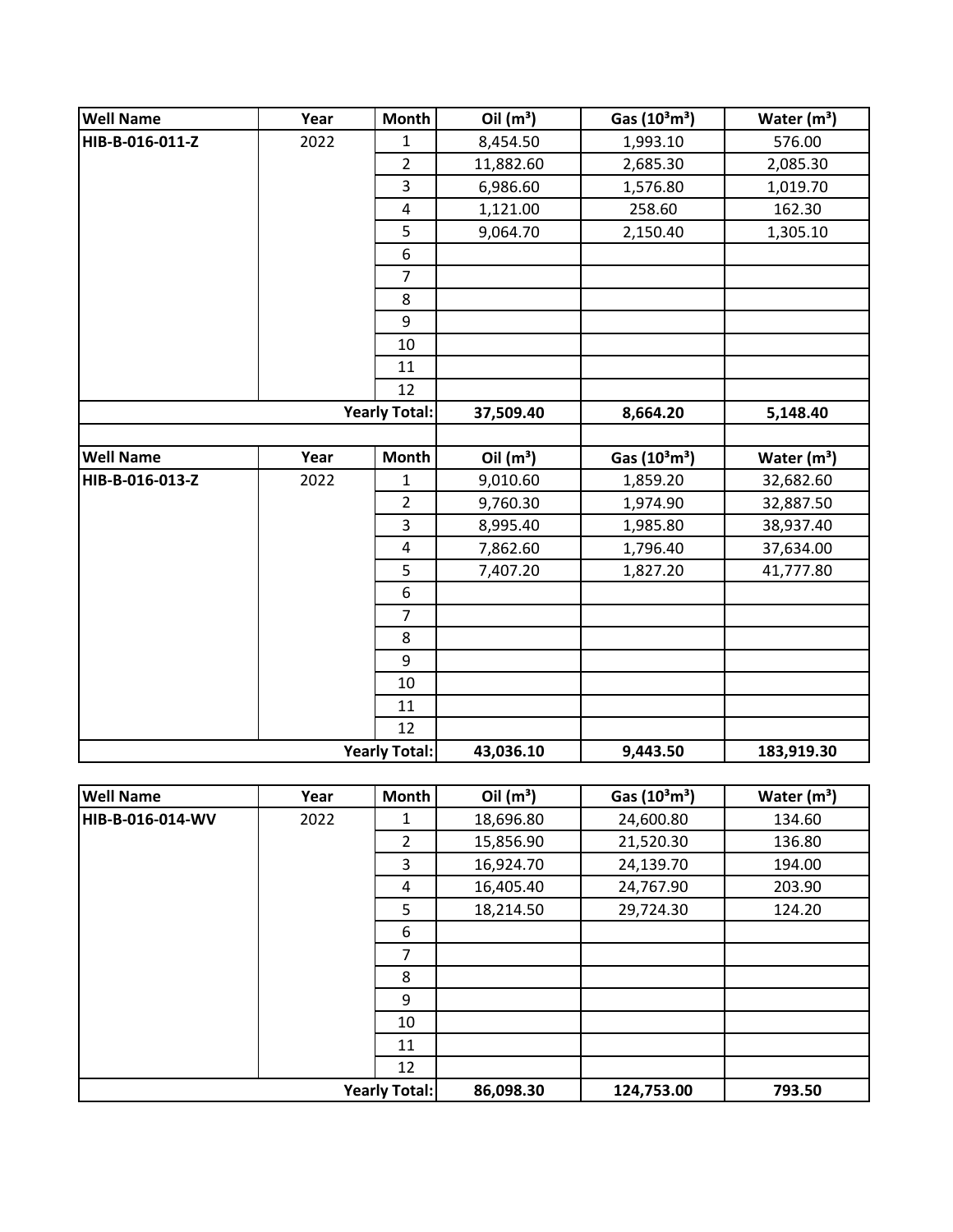| <b>Well Name</b> | Year | Month                   | Oil $(m^3)$ | Gas (10 <sup>3</sup> m <sup>3</sup> ) | Water $(m^3)$ |
|------------------|------|-------------------------|-------------|---------------------------------------|---------------|
| HIB-B-016-011-Z  | 2022 | 1                       | 8,454.50    | 1,993.10                              | 576.00        |
|                  |      | $\overline{2}$          | 11,882.60   | 2,685.30                              | 2,085.30      |
|                  |      | 3                       | 6,986.60    | 1,576.80                              | 1,019.70      |
|                  |      | $\pmb{4}$               | 1,121.00    | 258.60                                | 162.30        |
|                  |      | 5                       | 9,064.70    | 2,150.40                              | 1,305.10      |
|                  |      | 6                       |             |                                       |               |
|                  |      | $\overline{7}$          |             |                                       |               |
|                  |      | 8                       |             |                                       |               |
|                  |      | 9                       |             |                                       |               |
|                  |      | 10                      |             |                                       |               |
|                  |      | 11                      |             |                                       |               |
|                  |      | 12                      |             |                                       |               |
|                  |      | <b>Yearly Total:</b>    | 37,509.40   | 8,664.20                              | 5,148.40      |
|                  |      |                         |             |                                       |               |
| <b>Well Name</b> | Year | <b>Month</b>            | Oil $(m^3)$ | Gas (10 <sup>3</sup> m <sup>3</sup> ) | Water $(m3)$  |
| HIB-B-016-013-Z  | 2022 | 1                       | 9,010.60    | 1,859.20                              | 32,682.60     |
|                  |      | $\overline{2}$          | 9,760.30    | 1,974.90                              | 32,887.50     |
|                  |      | $\overline{\mathbf{3}}$ | 8,995.40    | 1,985.80                              | 38,937.40     |
|                  |      | $\pmb{4}$               | 7,862.60    | 1,796.40                              | 37,634.00     |
|                  |      | 5                       | 7,407.20    | 1,827.20                              | 41,777.80     |
|                  |      | 6                       |             |                                       |               |
|                  |      | $\overline{7}$          |             |                                       |               |
|                  |      | 8                       |             |                                       |               |
|                  |      | 9                       |             |                                       |               |
|                  |      | 10                      |             |                                       |               |
|                  |      | 11                      |             |                                       |               |
|                  |      | 12                      |             |                                       |               |
|                  |      | <b>Yearly Total:</b>    | 43,036.10   | 9,443.50                              | 183,919.30    |

| <b>Well Name</b>     | Year | Month          | Oil $(m^3)$ | Gas $(10^3 \text{m}^3)$ | Water $(m3)$ |
|----------------------|------|----------------|-------------|-------------------------|--------------|
| HIB-B-016-014-WV     | 2022 | 1              | 18,696.80   | 24,600.80               | 134.60       |
|                      |      | $\mathcal{L}$  | 15,856.90   | 21,520.30               | 136.80       |
|                      |      | 3              | 16,924.70   | 24,139.70               | 194.00       |
|                      |      | 4              | 16,405.40   | 24,767.90               | 203.90       |
|                      |      | 5              | 18,214.50   | 29,724.30               | 124.20       |
|                      |      | 6              |             |                         |              |
|                      |      | $\overline{7}$ |             |                         |              |
|                      |      | 8              |             |                         |              |
|                      |      | 9              |             |                         |              |
|                      |      | 10             |             |                         |              |
|                      |      | 11             |             |                         |              |
|                      |      | 12             |             |                         |              |
| <b>Yearly Total:</b> |      | 86,098.30      | 124,753.00  | 793.50                  |              |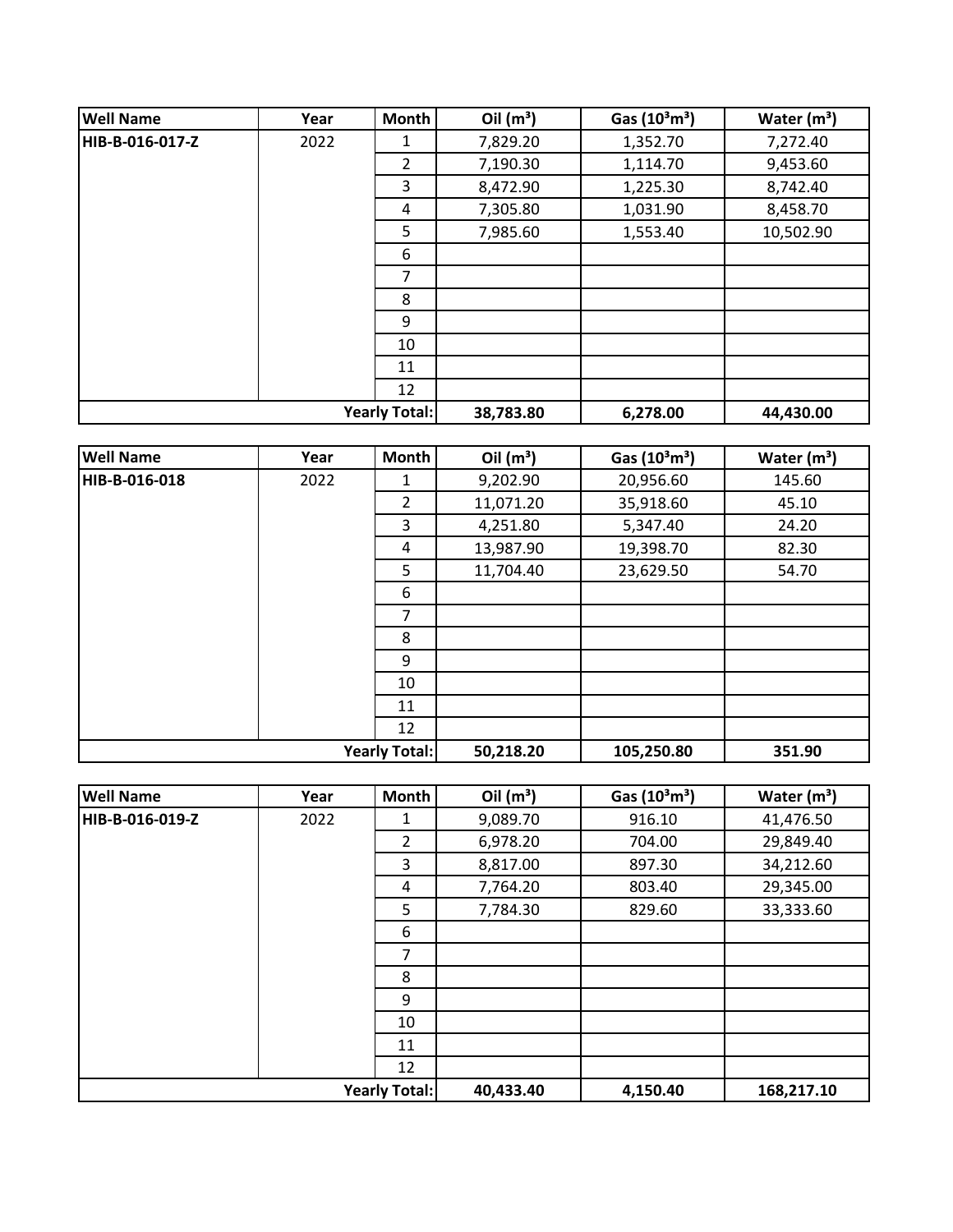| <b>Well Name</b> | Year | Month                | Oil $(m^3)$ | Gas $(10^3 \text{m}^3)$ | Water $(m^3)$ |
|------------------|------|----------------------|-------------|-------------------------|---------------|
| HIB-B-016-017-Z  | 2022 | 1                    | 7,829.20    | 1,352.70                | 7,272.40      |
|                  |      | 2                    | 7,190.30    | 1,114.70                | 9,453.60      |
|                  |      | 3                    | 8,472.90    | 1,225.30                | 8,742.40      |
|                  |      | 4                    | 7,305.80    | 1,031.90                | 8,458.70      |
|                  |      | 5                    | 7,985.60    | 1,553.40                | 10,502.90     |
|                  |      | 6                    |             |                         |               |
|                  |      | 7                    |             |                         |               |
|                  |      | 8                    |             |                         |               |
|                  |      | 9                    |             |                         |               |
|                  |      | 10                   |             |                         |               |
|                  |      | 11                   |             |                         |               |
|                  |      | 12                   |             |                         |               |
|                  |      | <b>Yearly Total:</b> | 38,783.80   | 6,278.00                | 44,430.00     |

| <b>Well Name</b>     | Year | Month          | Oil $(m^3)$ | Gas $(10^3 \text{m}^3)$ | Water $(m^3)$ |
|----------------------|------|----------------|-------------|-------------------------|---------------|
| HIB-B-016-018        | 2022 | 1              | 9,202.90    | 20,956.60               | 145.60        |
|                      |      | $\overline{2}$ | 11,071.20   | 35,918.60               | 45.10         |
|                      |      | 3              | 4,251.80    | 5,347.40                | 24.20         |
|                      |      | 4              | 13,987.90   | 19,398.70               | 82.30         |
|                      |      | 5              | 11,704.40   | 23,629.50               | 54.70         |
|                      |      | 6              |             |                         |               |
|                      |      | 7              |             |                         |               |
|                      |      | 8              |             |                         |               |
|                      |      | 9              |             |                         |               |
|                      |      | 10             |             |                         |               |
|                      |      | 11             |             |                         |               |
|                      |      | 12             |             |                         |               |
| <b>Yearly Total:</b> |      |                | 50,218.20   | 105,250.80              | 351.90        |

| <b>Well Name</b>     | Year | Month          | Oil $(m^3)$ | Gas (10 <sup>3</sup> m <sup>3</sup> ) | Water $(m^3)$ |
|----------------------|------|----------------|-------------|---------------------------------------|---------------|
| HIB-B-016-019-Z      | 2022 | 1              | 9,089.70    | 916.10                                | 41,476.50     |
|                      |      | $\overline{2}$ | 6,978.20    | 704.00                                | 29,849.40     |
|                      |      | 3              | 8,817.00    | 897.30                                | 34,212.60     |
|                      |      | 4              | 7,764.20    | 803.40                                | 29,345.00     |
|                      |      | 5              | 7,784.30    | 829.60                                | 33,333.60     |
|                      |      | 6              |             |                                       |               |
|                      |      | 7              |             |                                       |               |
|                      |      | 8              |             |                                       |               |
|                      |      | 9              |             |                                       |               |
|                      |      | 10             |             |                                       |               |
|                      |      | 11             |             |                                       |               |
|                      |      | 12             |             |                                       |               |
| <b>Yearly Total:</b> |      | 40,433.40      | 4,150.40    | 168,217.10                            |               |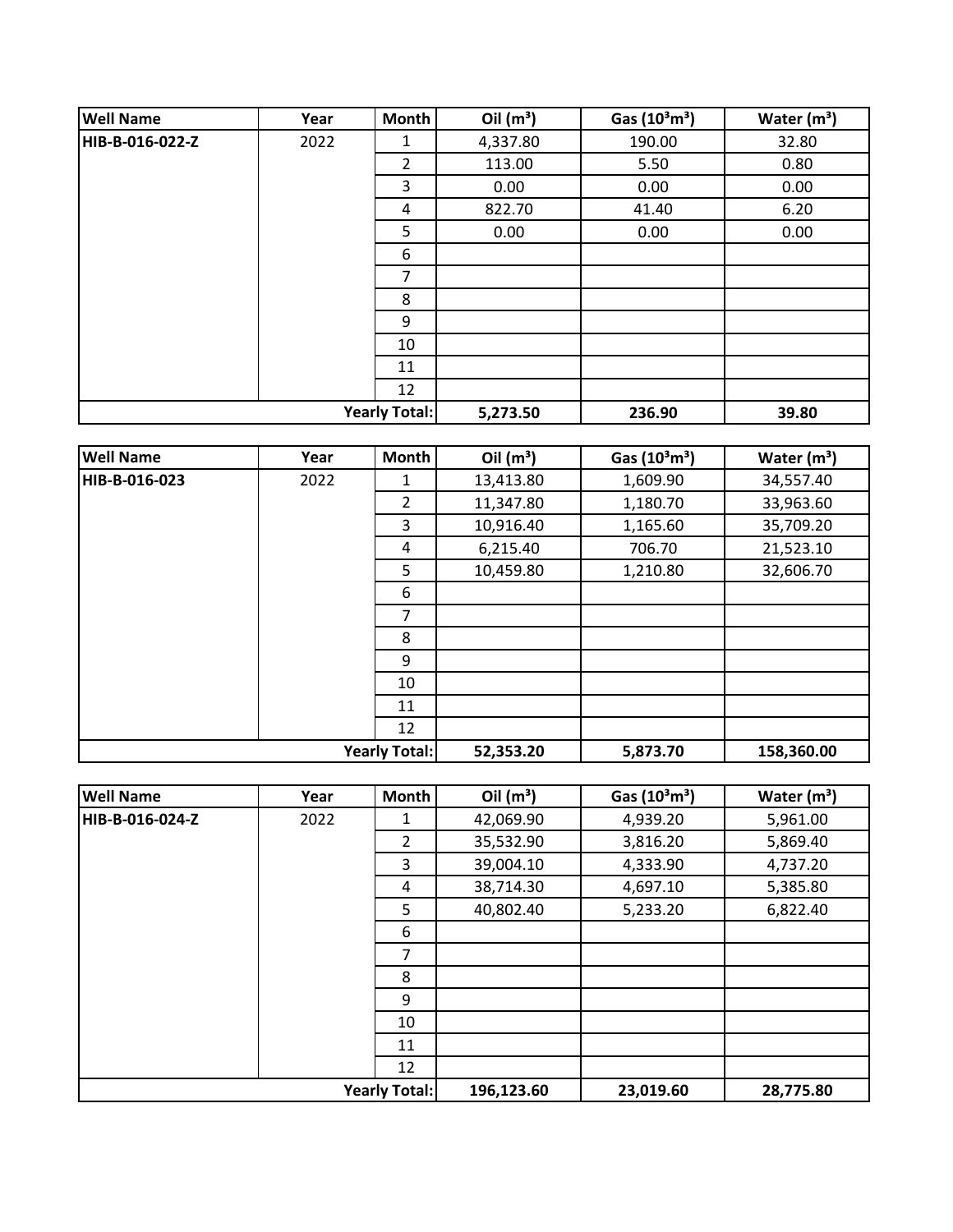| <b>Well Name</b> | Year | <b>Month</b>         | Oil $(m^3)$ | Gas $(10^3 \text{m}^3)$ | Water $(m^3)$ |
|------------------|------|----------------------|-------------|-------------------------|---------------|
| HIB-B-016-022-Z  | 2022 | 1                    | 4,337.80    | 190.00                  | 32.80         |
|                  |      | 2                    | 113.00      | 5.50                    | 0.80          |
|                  |      | 3                    | 0.00        | 0.00                    | 0.00          |
|                  |      | 4                    | 822.70      | 41.40                   | 6.20          |
|                  |      | 5                    | 0.00        | 0.00                    | 0.00          |
|                  |      | 6                    |             |                         |               |
|                  |      | 7                    |             |                         |               |
|                  |      | 8                    |             |                         |               |
|                  |      | 9                    |             |                         |               |
|                  |      | 10                   |             |                         |               |
|                  |      | 11                   |             |                         |               |
|                  |      | 12                   |             |                         |               |
|                  |      | <b>Yearly Total:</b> | 5,273.50    | 236.90                  | 39.80         |

| <b>Well Name</b>     | Year | Month          | Oil $(m^3)$ | Gas (10 <sup>3</sup> m <sup>3</sup> ) | Water $(m^3)$ |
|----------------------|------|----------------|-------------|---------------------------------------|---------------|
| HIB-B-016-023        | 2022 | 1              | 13,413.80   | 1,609.90                              | 34,557.40     |
|                      |      | $\overline{2}$ | 11,347.80   | 1,180.70                              | 33,963.60     |
|                      |      | 3              | 10,916.40   | 1,165.60                              | 35,709.20     |
|                      |      | 4              | 6,215.40    | 706.70                                | 21,523.10     |
|                      |      | 5              | 10,459.80   | 1,210.80                              | 32,606.70     |
|                      |      | 6              |             |                                       |               |
|                      |      | $\overline{7}$ |             |                                       |               |
|                      |      | 8              |             |                                       |               |
|                      |      | 9              |             |                                       |               |
|                      |      | 10             |             |                                       |               |
|                      |      | 11             |             |                                       |               |
|                      |      | 12             |             |                                       |               |
| <b>Yearly Total:</b> |      |                | 52,353.20   | 5,873.70                              | 158,360.00    |

| <b>Well Name</b> | Year | <b>Month</b>         | Oil $(m^3)$ | Gas (10 <sup>3</sup> m <sup>3</sup> ) | Water $(m^3)$ |
|------------------|------|----------------------|-------------|---------------------------------------|---------------|
| HIB-B-016-024-Z  | 2022 | 1                    | 42,069.90   | 4,939.20                              | 5,961.00      |
|                  |      | $\overline{2}$       | 35,532.90   | 3,816.20                              | 5,869.40      |
|                  |      | 3                    | 39,004.10   | 4,333.90                              | 4,737.20      |
|                  |      | 4                    | 38,714.30   | 4,697.10                              | 5,385.80      |
|                  |      | 5                    | 40,802.40   | 5,233.20                              | 6,822.40      |
|                  |      | 6                    |             |                                       |               |
|                  |      | 7                    |             |                                       |               |
|                  |      | 8                    |             |                                       |               |
|                  |      | 9                    |             |                                       |               |
|                  |      | 10                   |             |                                       |               |
|                  |      | 11                   |             |                                       |               |
|                  |      | 12                   |             |                                       |               |
|                  |      | <b>Yearly Total:</b> | 196,123.60  | 23,019.60                             | 28,775.80     |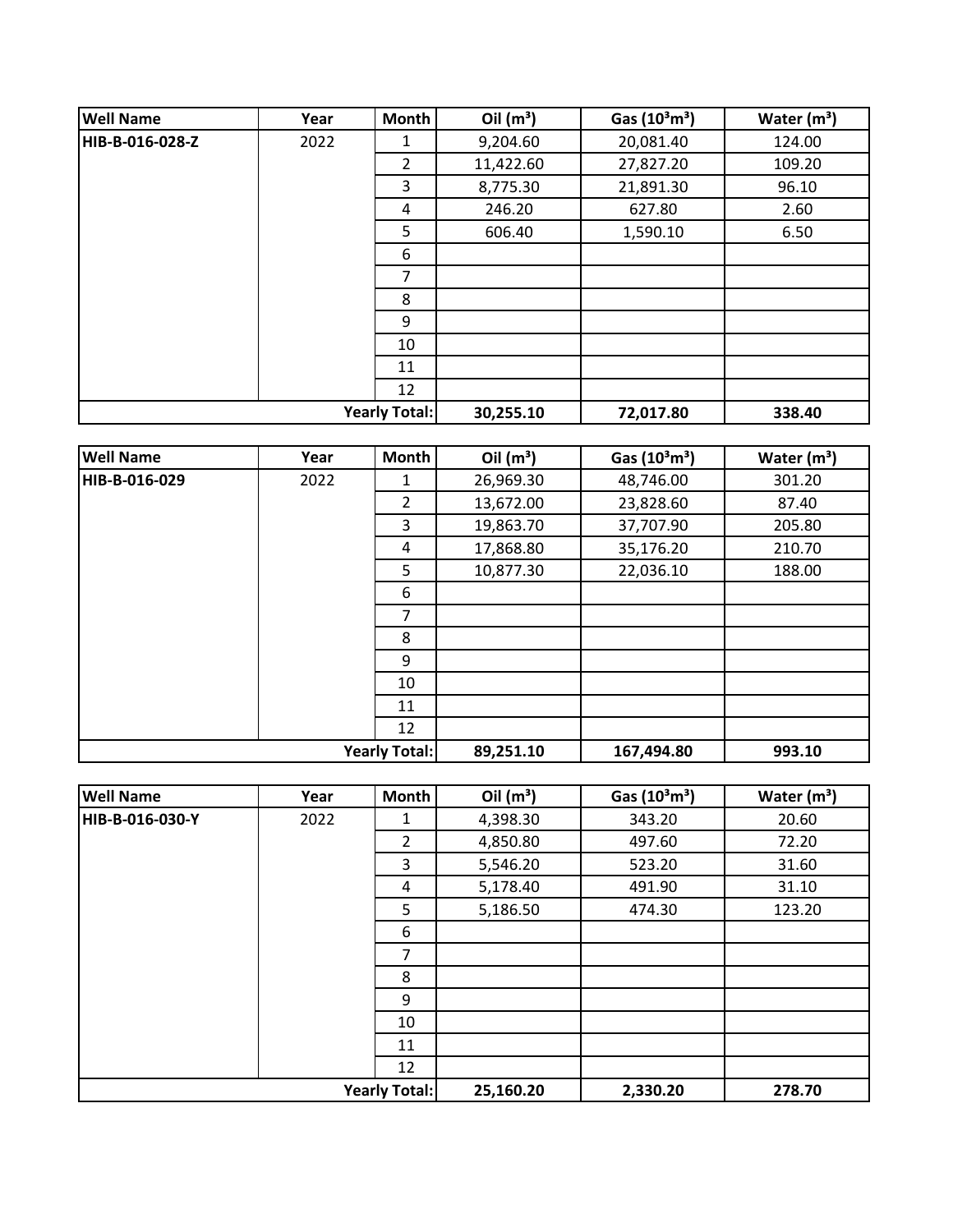| <b>Well Name</b> | Year | <b>Month</b>         | Oil $(m^3)$ | Gas $(10^3 \text{m}^3)$ | Water $(m^3)$ |
|------------------|------|----------------------|-------------|-------------------------|---------------|
| HIB-B-016-028-Z  | 2022 | 1                    | 9,204.60    | 20,081.40               | 124.00        |
|                  |      | $\overline{2}$       | 11,422.60   | 27,827.20               | 109.20        |
|                  |      | 3                    | 8,775.30    | 21,891.30               | 96.10         |
|                  |      | 4                    | 246.20      | 627.80                  | 2.60          |
|                  |      | 5                    | 606.40      | 1,590.10                | 6.50          |
|                  |      | 6                    |             |                         |               |
|                  |      | 7                    |             |                         |               |
|                  |      | 8                    |             |                         |               |
|                  |      | 9                    |             |                         |               |
|                  |      | 10                   |             |                         |               |
|                  |      | 11                   |             |                         |               |
|                  |      | 12                   |             |                         |               |
|                  |      | <b>Yearly Total:</b> | 30,255.10   | 72,017.80               | 338.40        |

| <b>Well Name</b>     | Year | <b>Month</b> | Oil $(m^3)$ | Gas $(10^3 \text{m}^3)$ | Water $(m^3)$ |
|----------------------|------|--------------|-------------|-------------------------|---------------|
| HIB-B-016-029        | 2022 | 1            | 26,969.30   | 48,746.00               | 301.20        |
|                      |      | 2            | 13,672.00   | 23,828.60               | 87.40         |
|                      |      | 3            | 19,863.70   | 37,707.90               | 205.80        |
|                      |      | 4            | 17,868.80   | 35,176.20               | 210.70        |
|                      |      | 5            | 10,877.30   | 22,036.10               | 188.00        |
|                      |      | 6            |             |                         |               |
|                      |      | 7            |             |                         |               |
|                      |      | 8            |             |                         |               |
|                      |      | 9            |             |                         |               |
|                      |      | 10           |             |                         |               |
|                      |      | 11           |             |                         |               |
|                      |      | 12           |             |                         |               |
| <b>Yearly Total:</b> |      | 89,251.10    | 167,494.80  | 993.10                  |               |

| <b>Well Name</b>     | Year | Month          | Oil $(m^3)$ | Gas $(10^3 \text{m}^3)$ | Water $(m^3)$ |
|----------------------|------|----------------|-------------|-------------------------|---------------|
| HIB-B-016-030-Y      | 2022 | 1              | 4,398.30    | 343.20                  | 20.60         |
|                      |      | $\overline{2}$ | 4,850.80    | 497.60                  | 72.20         |
|                      |      | 3              | 5,546.20    | 523.20                  | 31.60         |
|                      |      | 4              | 5,178.40    | 491.90                  | 31.10         |
|                      |      | 5              | 5,186.50    | 474.30                  | 123.20        |
|                      |      | 6              |             |                         |               |
|                      |      | 7              |             |                         |               |
|                      |      | 8              |             |                         |               |
|                      |      | 9              |             |                         |               |
|                      |      | 10             |             |                         |               |
|                      |      | 11             |             |                         |               |
|                      |      | 12             |             |                         |               |
| <b>Yearly Total:</b> |      |                | 25,160.20   | 2,330.20                | 278.70        |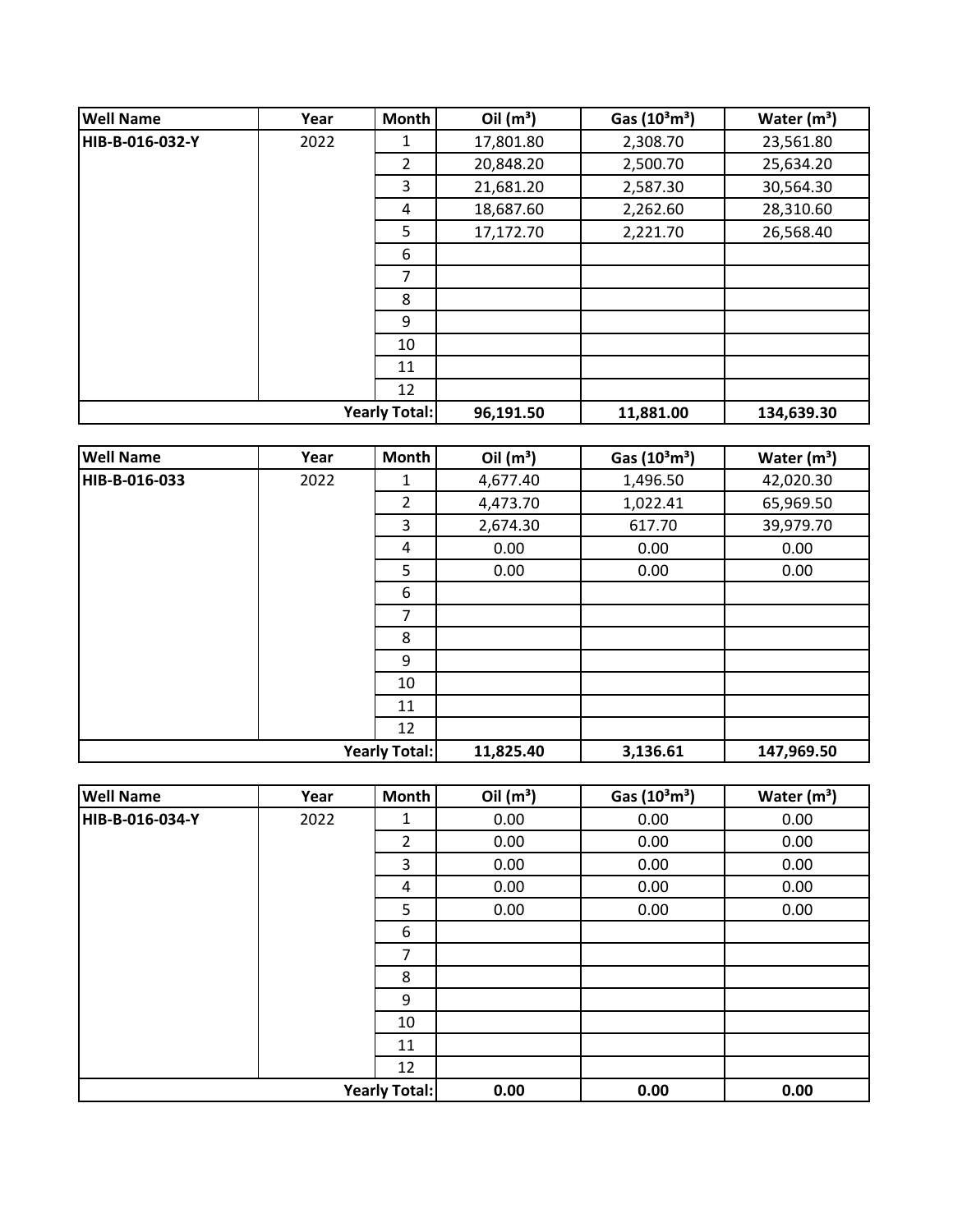| <b>Well Name</b>     | Year | <b>Month</b> | Oil $(m^3)$ | Gas $(10^3 \text{m}^3)$ | Water $(m3)$ |
|----------------------|------|--------------|-------------|-------------------------|--------------|
| HIB-B-016-032-Y      | 2022 | 1            | 17,801.80   | 2,308.70                | 23,561.80    |
|                      |      | 2            | 20,848.20   | 2,500.70                | 25,634.20    |
|                      |      | 3            | 21,681.20   | 2,587.30                | 30,564.30    |
|                      |      | 4            | 18,687.60   | 2,262.60                | 28,310.60    |
|                      |      | 5            | 17,172.70   | 2,221.70                | 26,568.40    |
|                      |      | 6            |             |                         |              |
|                      |      | 7            |             |                         |              |
|                      |      | 8            |             |                         |              |
|                      |      | 9            |             |                         |              |
|                      |      | 10           |             |                         |              |
|                      |      | 11           |             |                         |              |
|                      |      | 12           |             |                         |              |
| <b>Yearly Total:</b> |      |              | 96,191.50   | 11,881.00               | 134,639.30   |

| <b>Well Name</b>     | Year | <b>Month</b>   | Oil $(m^3)$ | Gas (10 <sup>3</sup> m <sup>3</sup> ) | Water $(m^3)$ |
|----------------------|------|----------------|-------------|---------------------------------------|---------------|
| HIB-B-016-033        | 2022 | 1              | 4,677.40    | 1,496.50                              | 42,020.30     |
|                      |      | $\overline{2}$ | 4,473.70    | 1,022.41                              | 65,969.50     |
|                      |      | 3              | 2,674.30    | 617.70                                | 39,979.70     |
|                      |      | 4              | 0.00        | 0.00                                  | 0.00          |
|                      |      | 5              | 0.00        | 0.00                                  | 0.00          |
|                      |      | 6              |             |                                       |               |
|                      |      | 7              |             |                                       |               |
|                      |      | 8              |             |                                       |               |
|                      |      | 9              |             |                                       |               |
|                      |      | 10             |             |                                       |               |
|                      |      | 11             |             |                                       |               |
|                      |      | 12             |             |                                       |               |
| <b>Yearly Total:</b> |      |                | 11,825.40   | 3,136.61                              | 147,969.50    |

| <b>Well Name</b>     | Year | Month          | Oil $(m^3)$ | Gas $(10^3 \text{m}^3)$ | Water $(m^3)$ |
|----------------------|------|----------------|-------------|-------------------------|---------------|
| HIB-B-016-034-Y      | 2022 | 1              | 0.00        | 0.00                    | 0.00          |
|                      |      | $\overline{2}$ | 0.00        | 0.00                    | 0.00          |
|                      |      | 3              | 0.00        | 0.00                    | 0.00          |
|                      |      | 4              | 0.00        | 0.00                    | 0.00          |
|                      |      | 5              | 0.00        | 0.00                    | 0.00          |
|                      |      | 6              |             |                         |               |
|                      |      | 7              |             |                         |               |
|                      |      | 8              |             |                         |               |
|                      |      | 9              |             |                         |               |
|                      |      | 10             |             |                         |               |
|                      |      | 11             |             |                         |               |
|                      |      | 12             |             |                         |               |
| <b>Yearly Total:</b> |      | 0.00           | 0.00        | 0.00                    |               |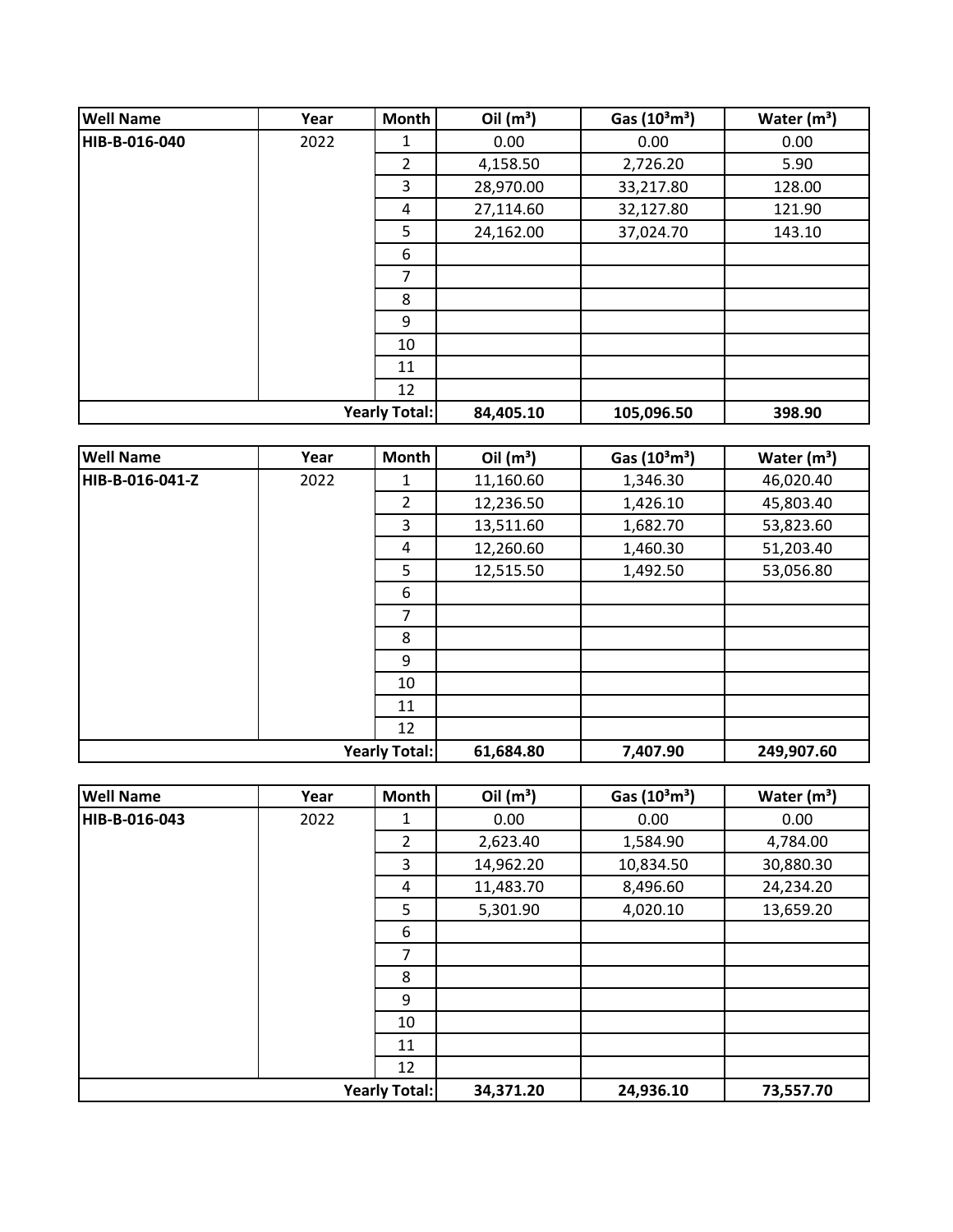| <b>Well Name</b> | Year | <b>Month</b>         | Oil $(m^3)$ | Gas $(10^3 \text{m}^3)$ | Water $(m^3)$ |
|------------------|------|----------------------|-------------|-------------------------|---------------|
| HIB-B-016-040    | 2022 | 1                    | 0.00        | 0.00                    | 0.00          |
|                  |      | 2                    | 4,158.50    | 2,726.20                | 5.90          |
|                  |      | 3                    | 28,970.00   | 33,217.80               | 128.00        |
|                  |      | 4                    | 27,114.60   | 32,127.80               | 121.90        |
|                  |      | 5                    | 24,162.00   | 37,024.70               | 143.10        |
|                  |      | 6                    |             |                         |               |
|                  |      | 7                    |             |                         |               |
|                  |      | 8                    |             |                         |               |
|                  |      | 9                    |             |                         |               |
|                  |      | 10                   |             |                         |               |
|                  |      | 11                   |             |                         |               |
|                  |      | 12                   |             |                         |               |
|                  |      | <b>Yearly Total:</b> | 84,405.10   | 105,096.50              | 398.90        |

| <b>Well Name</b>     | Year | <b>Month</b>   | Oil $(m^3)$ | Gas $(10^3 \text{m}^3)$ | Water $(m^3)$ |
|----------------------|------|----------------|-------------|-------------------------|---------------|
| HIB-B-016-041-Z      | 2022 | $\mathbf{1}$   | 11,160.60   | 1,346.30                | 46,020.40     |
|                      |      | $\overline{2}$ | 12,236.50   | 1,426.10                | 45,803.40     |
|                      |      | 3              | 13,511.60   | 1,682.70                | 53,823.60     |
|                      |      | 4              | 12,260.60   | 1,460.30                | 51,203.40     |
|                      |      | 5              | 12,515.50   | 1,492.50                | 53,056.80     |
|                      |      | 6              |             |                         |               |
|                      |      | $\overline{7}$ |             |                         |               |
|                      |      | 8              |             |                         |               |
|                      |      | 9              |             |                         |               |
|                      |      | 10             |             |                         |               |
|                      |      | 11             |             |                         |               |
|                      |      | 12             |             |                         |               |
| <b>Yearly Total:</b> |      |                | 61,684.80   | 7,407.90                | 249,907.60    |

| <b>Well Name</b>     | Year | Month          | Oil $(m^3)$ | Gas $(10^3 \text{m}^3)$ | Water $(m^3)$ |
|----------------------|------|----------------|-------------|-------------------------|---------------|
| HIB-B-016-043        | 2022 | 1              | 0.00        | 0.00                    | 0.00          |
|                      |      | $\overline{2}$ | 2,623.40    | 1,584.90                | 4,784.00      |
|                      |      | 3              | 14,962.20   | 10,834.50               | 30,880.30     |
|                      |      | 4              | 11,483.70   | 8,496.60                | 24,234.20     |
|                      |      | 5              | 5,301.90    | 4,020.10                | 13,659.20     |
|                      |      | 6              |             |                         |               |
|                      |      | 7              |             |                         |               |
|                      |      | 8              |             |                         |               |
|                      |      | 9              |             |                         |               |
|                      |      | 10             |             |                         |               |
|                      |      | 11             |             |                         |               |
|                      |      | 12             |             |                         |               |
| <b>Yearly Total:</b> |      | 34,371.20      | 24,936.10   | 73,557.70               |               |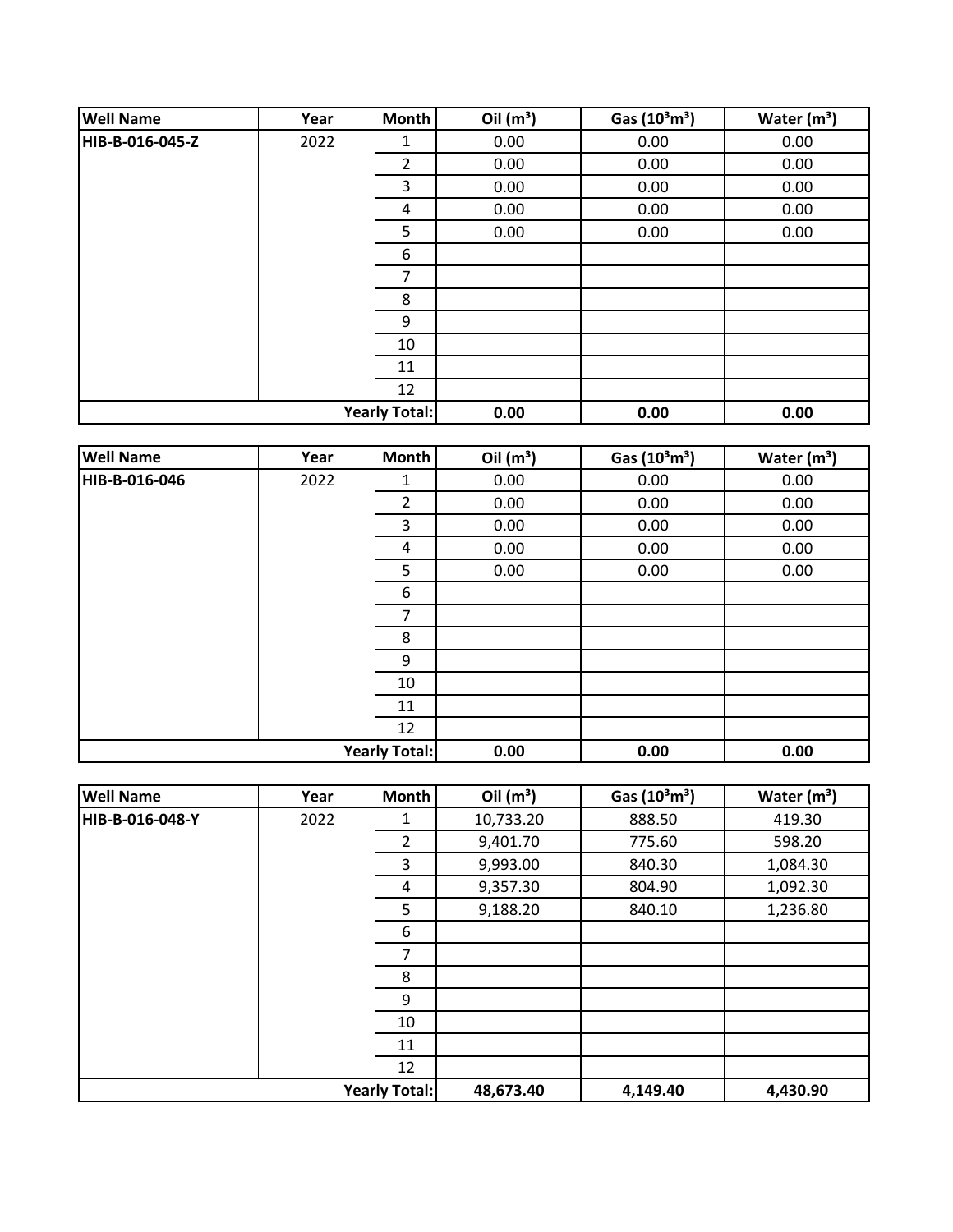| <b>Well Name</b> | Year | Month                | Oil $(m^3)$ | Gas (10 <sup>3</sup> m <sup>3</sup> ) | Water $(m^3)$ |
|------------------|------|----------------------|-------------|---------------------------------------|---------------|
| HIB-B-016-045-Z  | 2022 | 1                    | 0.00        | 0.00                                  | 0.00          |
|                  |      | 2                    | 0.00        | 0.00                                  | 0.00          |
|                  |      | 3                    | 0.00        | 0.00                                  | 0.00          |
|                  |      | 4                    | 0.00        | 0.00                                  | 0.00          |
|                  |      | 5                    | 0.00        | 0.00                                  | 0.00          |
|                  |      | 6                    |             |                                       |               |
|                  |      | 7                    |             |                                       |               |
|                  |      | 8                    |             |                                       |               |
|                  |      | 9                    |             |                                       |               |
|                  |      | 10                   |             |                                       |               |
|                  |      | 11                   |             |                                       |               |
|                  |      | 12                   |             |                                       |               |
|                  |      | <b>Yearly Total:</b> | 0.00        | 0.00                                  | 0.00          |

| <b>Well Name</b>     | Year | Month          | Oil $(m^3)$ | Gas (10 <sup>3</sup> m <sup>3</sup> ) | Water $(m^3)$ |
|----------------------|------|----------------|-------------|---------------------------------------|---------------|
| HIB-B-016-046        | 2022 | 1              | 0.00        | 0.00                                  | 0.00          |
|                      |      | $\overline{2}$ | 0.00        | 0.00                                  | 0.00          |
|                      |      | 3              | 0.00        | 0.00                                  | 0.00          |
|                      |      | 4              | 0.00        | 0.00                                  | 0.00          |
|                      |      | 5              | 0.00        | 0.00                                  | 0.00          |
|                      |      | 6              |             |                                       |               |
|                      |      | $\overline{7}$ |             |                                       |               |
|                      |      | 8              |             |                                       |               |
|                      |      | 9              |             |                                       |               |
|                      |      | 10             |             |                                       |               |
|                      |      | 11             |             |                                       |               |
|                      |      | 12             |             |                                       |               |
| <b>Yearly Total:</b> |      |                | 0.00        | 0.00                                  | 0.00          |

| <b>Well Name</b>     | Year | Month          | Oil $(m^3)$ | Gas $(10^3 \text{m}^3)$ | Water $(m^3)$ |
|----------------------|------|----------------|-------------|-------------------------|---------------|
| HIB-B-016-048-Y      | 2022 | 1              | 10,733.20   | 888.50                  | 419.30        |
|                      |      | $\overline{2}$ | 9,401.70    | 775.60                  | 598.20        |
|                      |      | 3              | 9,993.00    | 840.30                  | 1,084.30      |
|                      |      | 4              | 9,357.30    | 804.90                  | 1,092.30      |
|                      |      | 5              | 9,188.20    | 840.10                  | 1,236.80      |
|                      |      | 6              |             |                         |               |
|                      |      | 7              |             |                         |               |
|                      |      | 8              |             |                         |               |
|                      |      | 9              |             |                         |               |
|                      |      | 10             |             |                         |               |
|                      |      | 11             |             |                         |               |
|                      |      | 12             |             |                         |               |
| <b>Yearly Total:</b> |      | 48,673.40      | 4,149.40    | 4,430.90                |               |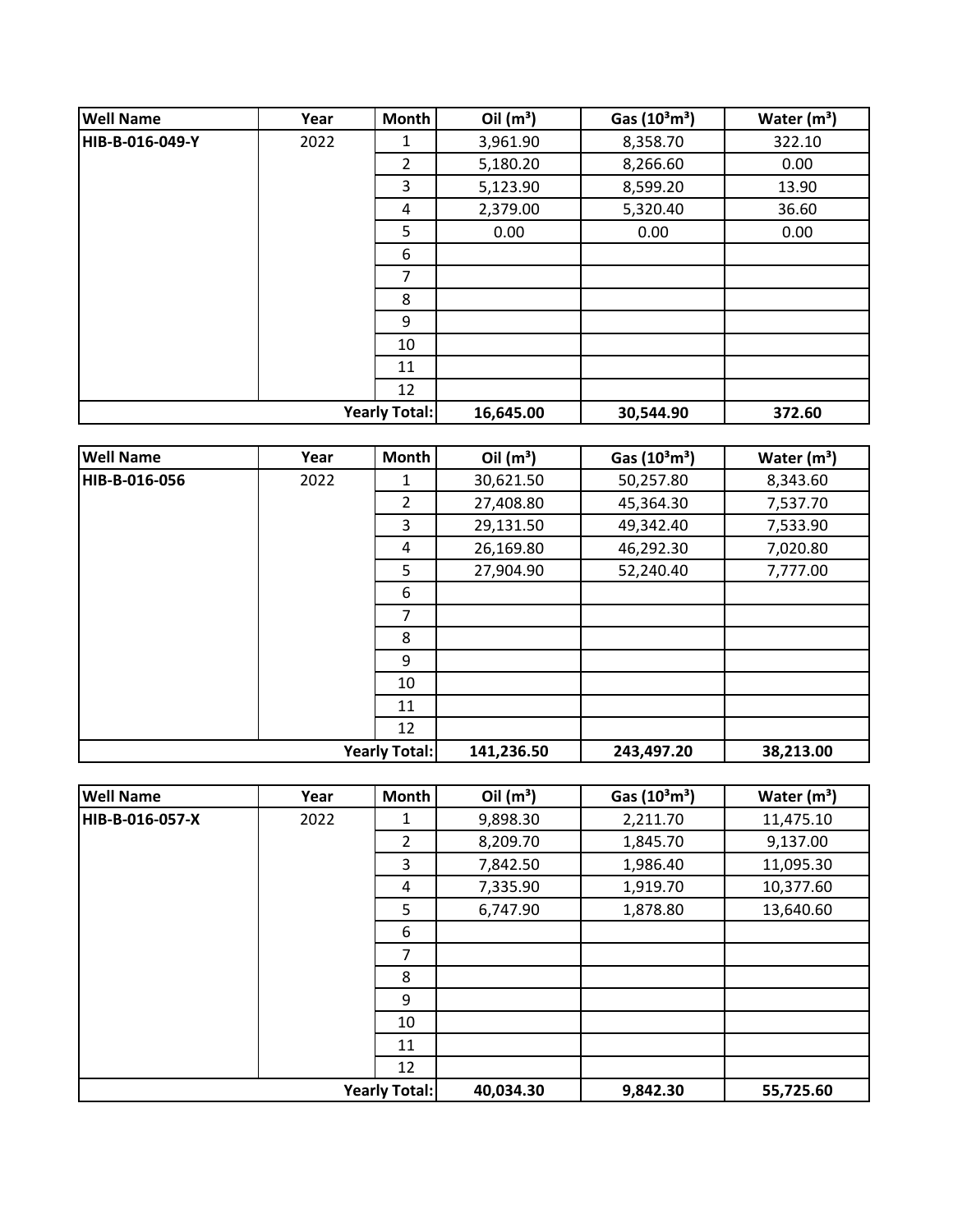| <b>Well Name</b> | Year | <b>Month</b>         | Oil $(m^3)$ | Gas $(10^3 \text{m}^3)$ | Water $(m^3)$ |
|------------------|------|----------------------|-------------|-------------------------|---------------|
| HIB-B-016-049-Y  | 2022 | 1                    | 3,961.90    | 8,358.70                | 322.10        |
|                  |      | $\overline{2}$       | 5,180.20    | 8,266.60                | 0.00          |
|                  |      | 3                    | 5,123.90    | 8,599.20                | 13.90         |
|                  |      | 4                    | 2,379.00    | 5,320.40                | 36.60         |
|                  |      | 5                    | 0.00        | 0.00                    | 0.00          |
|                  |      | 6                    |             |                         |               |
|                  |      | 7                    |             |                         |               |
|                  |      | 8                    |             |                         |               |
|                  |      | 9                    |             |                         |               |
|                  |      | 10                   |             |                         |               |
|                  |      | 11                   |             |                         |               |
|                  |      | 12                   |             |                         |               |
|                  |      | <b>Yearly Total:</b> | 16,645.00   | 30,544.90               | 372.60        |

| <b>Well Name</b>     | Year | <b>Month</b>   | Oil $(m^3)$ | Gas $(10^3 \text{m}^3)$ | Water $(m^3)$ |
|----------------------|------|----------------|-------------|-------------------------|---------------|
| HIB-B-016-056        | 2022 | 1              | 30,621.50   | 50,257.80               | 8,343.60      |
|                      |      | $\overline{2}$ | 27,408.80   | 45,364.30               | 7,537.70      |
|                      |      | 3              | 29,131.50   | 49,342.40               | 7,533.90      |
|                      |      | 4              | 26,169.80   | 46,292.30               | 7,020.80      |
|                      |      | 5              | 27,904.90   | 52,240.40               | 7,777.00      |
|                      |      | 6              |             |                         |               |
|                      |      | 7              |             |                         |               |
|                      |      | 8              |             |                         |               |
|                      |      | 9              |             |                         |               |
|                      |      | 10             |             |                         |               |
|                      |      | 11             |             |                         |               |
|                      |      | 12             |             |                         |               |
| <b>Yearly Total:</b> |      | 141,236.50     | 243,497.20  | 38,213.00               |               |

| <b>Well Name</b>     | Year | Month          | Oil $(m^3)$ | Gas $(10^3 \text{m}^3)$ | Water $(m^3)$ |
|----------------------|------|----------------|-------------|-------------------------|---------------|
| HIB-B-016-057-X      | 2022 | 1              | 9,898.30    | 2,211.70                | 11,475.10     |
|                      |      | $\overline{2}$ | 8,209.70    | 1,845.70                | 9,137.00      |
|                      |      | 3              | 7,842.50    | 1,986.40                | 11,095.30     |
|                      |      | 4              | 7,335.90    | 1,919.70                | 10,377.60     |
|                      |      | 5              | 6,747.90    | 1,878.80                | 13,640.60     |
|                      |      | 6              |             |                         |               |
|                      |      | 7              |             |                         |               |
|                      |      | 8              |             |                         |               |
|                      |      | 9              |             |                         |               |
|                      |      | 10             |             |                         |               |
|                      |      | 11             |             |                         |               |
|                      |      | 12             |             |                         |               |
| <b>Yearly Total:</b> |      |                | 40,034.30   | 9,842.30                | 55,725.60     |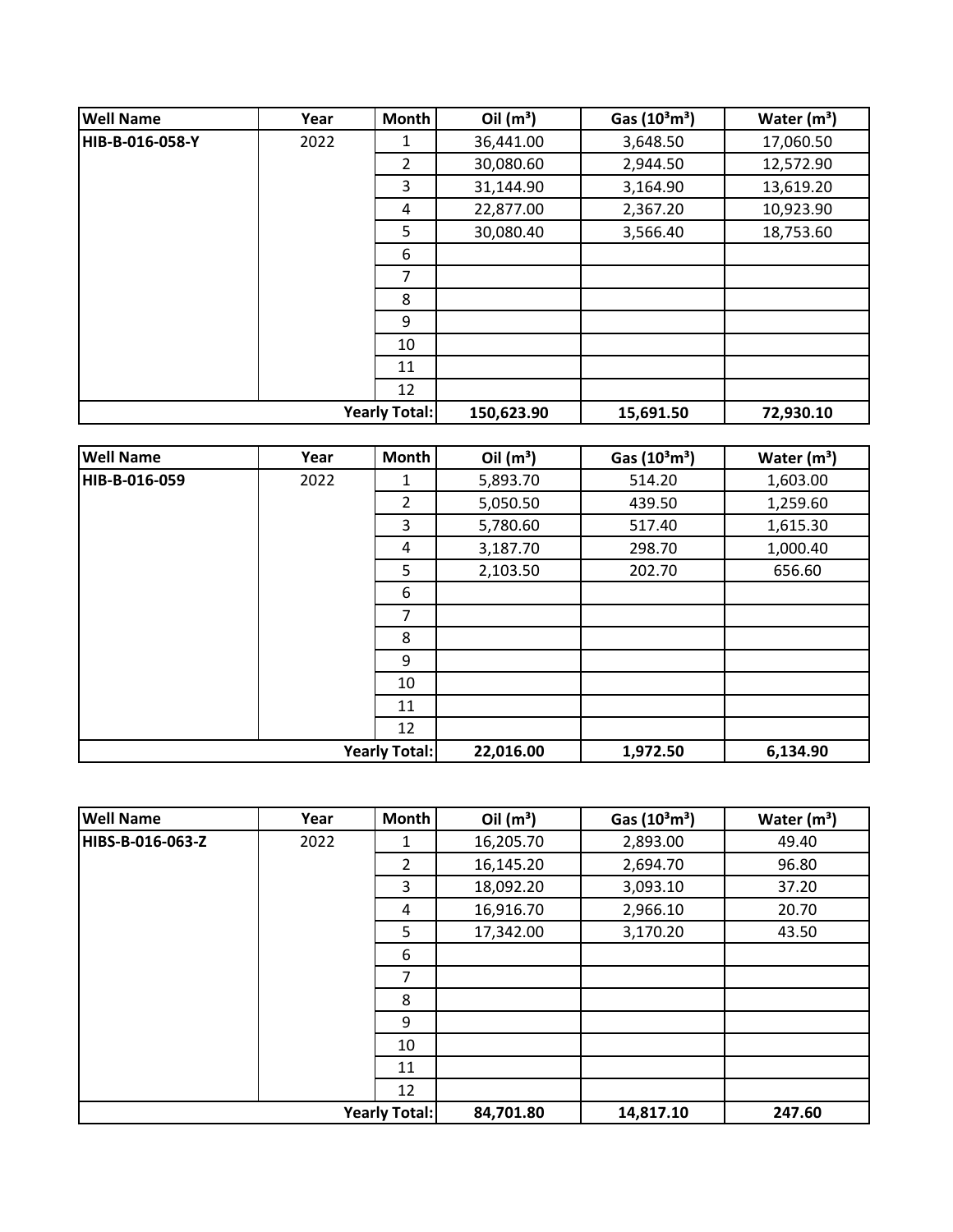| <b>Well Name</b> | Year | <b>Month</b>         | Oil $(m^3)$ | Gas $(10^3 \text{m}^3)$ | Water $(m3)$ |
|------------------|------|----------------------|-------------|-------------------------|--------------|
| HIB-B-016-058-Y  | 2022 | 1                    | 36,441.00   | 3,648.50                | 17,060.50    |
|                  |      | $\overline{2}$       | 30,080.60   | 2,944.50                | 12,572.90    |
|                  |      | 3                    | 31,144.90   | 3,164.90                | 13,619.20    |
|                  |      | 4                    | 22,877.00   | 2,367.20                | 10,923.90    |
|                  |      | 5                    | 30,080.40   | 3,566.40                | 18,753.60    |
|                  |      | 6                    |             |                         |              |
|                  |      | 7                    |             |                         |              |
|                  |      | 8                    |             |                         |              |
|                  |      | 9                    |             |                         |              |
|                  |      | 10                   |             |                         |              |
|                  |      | 11                   |             |                         |              |
|                  |      | 12                   |             |                         |              |
|                  |      | <b>Yearly Total:</b> | 150,623.90  | 15,691.50               | 72,930.10    |

| <b>Well Name</b>     | Year | <b>Month</b>   | Oil $(m^3)$ | Gas $(10^3 \text{m}^3)$ | Water $(m^3)$ |
|----------------------|------|----------------|-------------|-------------------------|---------------|
| HIB-B-016-059        | 2022 | 1              | 5,893.70    | 514.20                  | 1,603.00      |
|                      |      | $\overline{2}$ | 5,050.50    | 439.50                  | 1,259.60      |
|                      |      | 3              | 5,780.60    | 517.40                  | 1,615.30      |
|                      |      | 4              | 3,187.70    | 298.70                  | 1,000.40      |
|                      |      | 5              | 2,103.50    | 202.70                  | 656.60        |
|                      |      | 6              |             |                         |               |
|                      |      | $\overline{7}$ |             |                         |               |
|                      |      | 8              |             |                         |               |
|                      |      | 9              |             |                         |               |
|                      |      | 10             |             |                         |               |
|                      |      | 11             |             |                         |               |
|                      |      | 12             |             |                         |               |
| <b>Yearly Total:</b> |      | 22,016.00      | 1,972.50    | 6,134.90                |               |

| <b>Well Name</b> | Year | <b>Month</b>         | Oil $(m^3)$ | Gas $(10^3 \text{m}^3)$ | Water $(m^3)$ |
|------------------|------|----------------------|-------------|-------------------------|---------------|
| HIBS-B-016-063-Z | 2022 | 1                    | 16,205.70   | 2,893.00                | 49.40         |
|                  |      | $\overline{2}$       | 16,145.20   | 2,694.70                | 96.80         |
|                  |      | 3                    | 18,092.20   | 3,093.10                | 37.20         |
|                  |      | 4                    | 16,916.70   | 2,966.10                | 20.70         |
|                  |      | 5                    | 17,342.00   | 3,170.20                | 43.50         |
|                  |      | 6                    |             |                         |               |
|                  |      | 7                    |             |                         |               |
|                  |      | 8                    |             |                         |               |
|                  |      | 9                    |             |                         |               |
|                  |      | 10                   |             |                         |               |
|                  |      | 11                   |             |                         |               |
|                  |      | 12                   |             |                         |               |
|                  |      | <b>Yearly Total:</b> | 84,701.80   | 14,817.10               | 247.60        |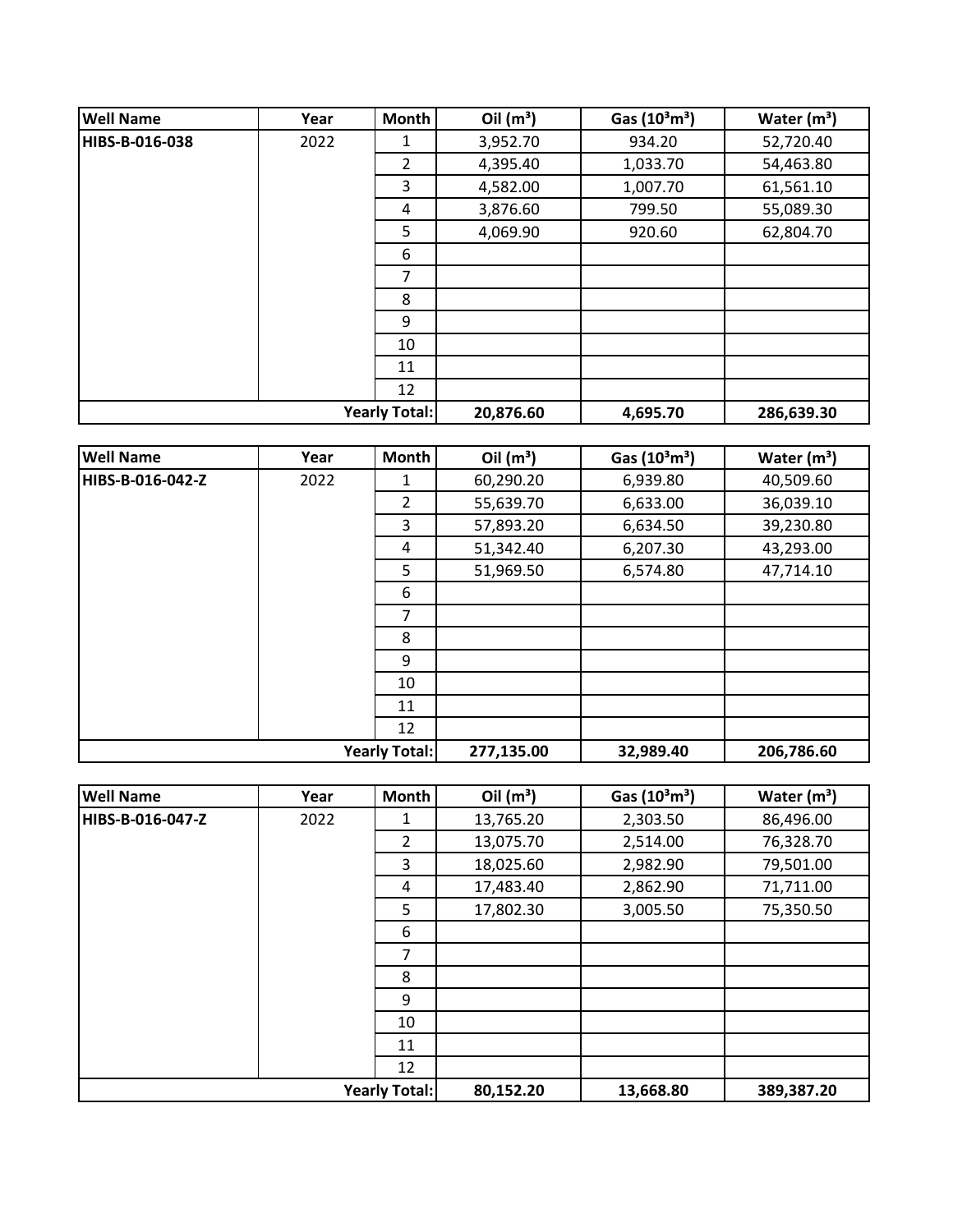| <b>Well Name</b>     | Year | <b>Month</b> | Oil $(m^3)$ | Gas $(10^3 \text{m}^3)$ | Water $(m3)$ |
|----------------------|------|--------------|-------------|-------------------------|--------------|
| HIBS-B-016-038       | 2022 | 1            | 3,952.70    | 934.20                  | 52,720.40    |
|                      |      | 2            | 4,395.40    | 1,033.70                | 54,463.80    |
|                      |      | 3            | 4,582.00    | 1,007.70                | 61,561.10    |
|                      |      | 4            | 3,876.60    | 799.50                  | 55,089.30    |
|                      |      | 5            | 4,069.90    | 920.60                  | 62,804.70    |
|                      |      | 6            |             |                         |              |
|                      |      | 7            |             |                         |              |
|                      |      | 8            |             |                         |              |
|                      |      | 9            |             |                         |              |
|                      |      | 10           |             |                         |              |
|                      |      | 11           |             |                         |              |
|                      |      | 12           |             |                         |              |
| <b>Yearly Total:</b> |      |              | 20,876.60   | 4,695.70                | 286,639.30   |

| <b>Well Name</b>     | Year | Month          | Oil $(m^3)$ | Gas $(10^3 \text{m}^3)$ | Water $(m^3)$ |
|----------------------|------|----------------|-------------|-------------------------|---------------|
| HIBS-B-016-042-Z     | 2022 | 1              | 60,290.20   | 6,939.80                | 40,509.60     |
|                      |      | $\overline{2}$ | 55,639.70   | 6,633.00                | 36,039.10     |
|                      |      | 3              | 57,893.20   | 6,634.50                | 39,230.80     |
|                      |      | 4              | 51,342.40   | 6,207.30                | 43,293.00     |
|                      |      | 5              | 51,969.50   | 6,574.80                | 47,714.10     |
|                      |      | 6              |             |                         |               |
|                      |      | $\overline{7}$ |             |                         |               |
|                      |      | 8              |             |                         |               |
|                      |      | 9              |             |                         |               |
|                      |      | 10             |             |                         |               |
|                      |      | 11             |             |                         |               |
|                      |      | 12             |             |                         |               |
| <b>Yearly Total:</b> |      |                | 277,135.00  | 32,989.40               | 206,786.60    |

| <b>Well Name</b>     | Year | Month          | Oil $(m^3)$ | Gas $(10^3 \text{m}^3)$ | Water $(m^3)$ |
|----------------------|------|----------------|-------------|-------------------------|---------------|
| HIBS-B-016-047-Z     | 2022 | 1              | 13,765.20   | 2,303.50                | 86,496.00     |
|                      |      | $\overline{2}$ | 13,075.70   | 2,514.00                | 76,328.70     |
|                      |      | 3              | 18,025.60   | 2,982.90                | 79,501.00     |
|                      |      | 4              | 17,483.40   | 2,862.90                | 71,711.00     |
|                      |      | 5              | 17,802.30   | 3,005.50                | 75,350.50     |
|                      |      | 6              |             |                         |               |
|                      |      | 7              |             |                         |               |
|                      |      | 8              |             |                         |               |
|                      |      | 9              |             |                         |               |
|                      |      | 10             |             |                         |               |
|                      |      | 11             |             |                         |               |
|                      |      | 12             |             |                         |               |
| <b>Yearly Total:</b> |      | 80,152.20      | 13,668.80   | 389,387.20              |               |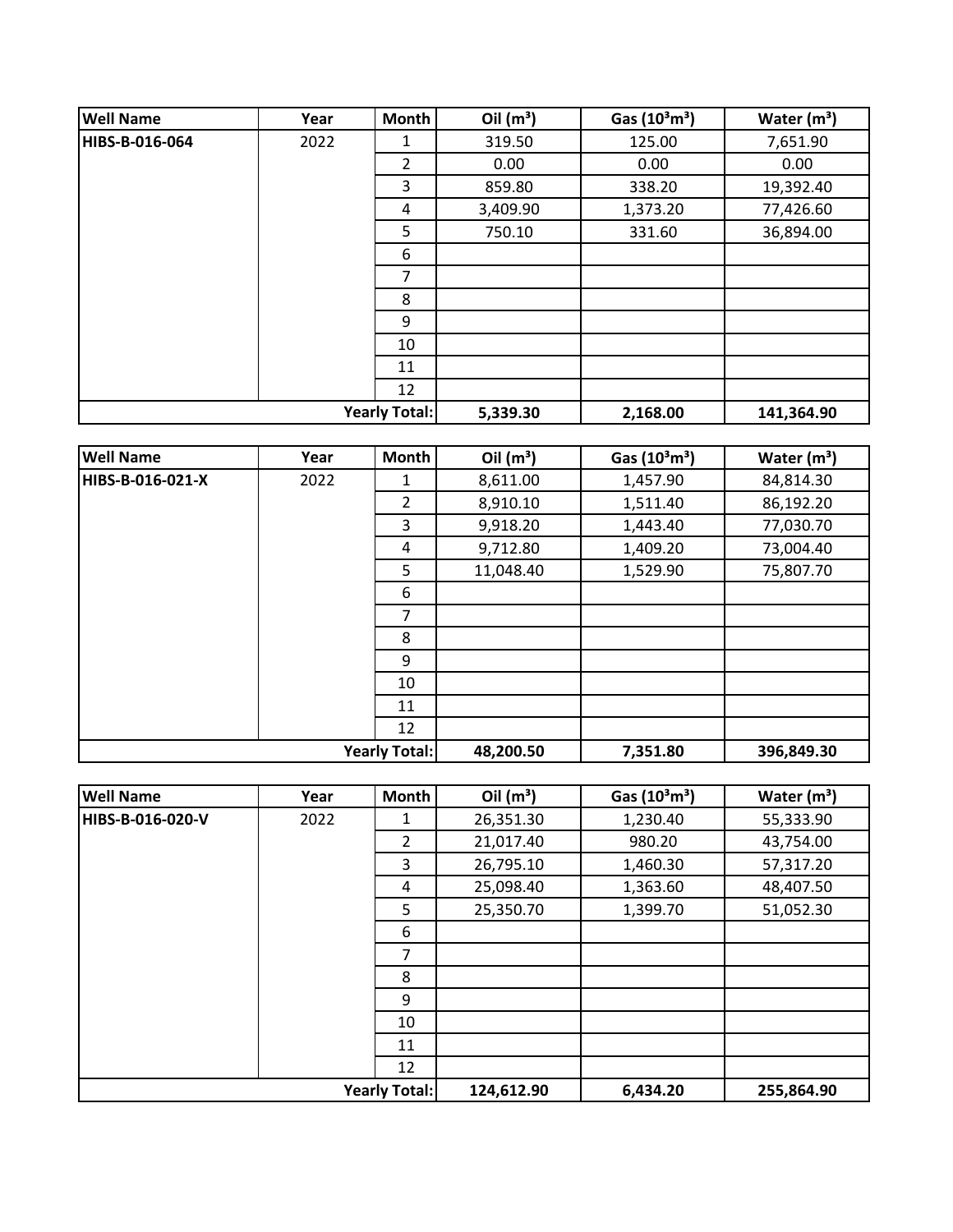| <b>Well Name</b>     | Year | <b>Month</b> | Oil $(m^3)$ | Gas $(10^3 \text{m}^3)$ | Water $(m3)$ |
|----------------------|------|--------------|-------------|-------------------------|--------------|
| HIBS-B-016-064       | 2022 | 1            | 319.50      | 125.00                  | 7,651.90     |
|                      |      | 2            | 0.00        | 0.00                    | 0.00         |
|                      |      | 3            | 859.80      | 338.20                  | 19,392.40    |
|                      |      | 4            | 3,409.90    | 1,373.20                | 77,426.60    |
|                      |      | 5            | 750.10      | 331.60                  | 36,894.00    |
|                      |      | 6            |             |                         |              |
|                      |      | 7            |             |                         |              |
|                      |      | 8            |             |                         |              |
|                      |      | 9            |             |                         |              |
|                      |      | 10           |             |                         |              |
|                      |      | 11           |             |                         |              |
|                      |      | 12           |             |                         |              |
| <b>Yearly Total:</b> |      |              | 5,339.30    | 2,168.00                | 141,364.90   |

| <b>Well Name</b>     | Year | Month          | Oil $(m^3)$ | Gas $(10^3 \text{m}^3)$ | Water $(m^3)$ |
|----------------------|------|----------------|-------------|-------------------------|---------------|
| HIBS-B-016-021-X     | 2022 | 1              | 8,611.00    | 1,457.90                | 84,814.30     |
|                      |      | $\overline{2}$ | 8,910.10    | 1,511.40                | 86,192.20     |
|                      |      | 3              | 9,918.20    | 1,443.40                | 77,030.70     |
|                      |      | 4              | 9,712.80    | 1,409.20                | 73,004.40     |
|                      |      | 5              | 11,048.40   | 1,529.90                | 75,807.70     |
|                      |      | 6              |             |                         |               |
|                      |      | $\overline{7}$ |             |                         |               |
|                      |      | 8              |             |                         |               |
|                      |      | 9              |             |                         |               |
|                      |      | 10             |             |                         |               |
|                      |      | 11             |             |                         |               |
|                      |      | 12             |             |                         |               |
| <b>Yearly Total:</b> |      |                | 48,200.50   | 7,351.80                | 396,849.30    |

| <b>Well Name</b> | Year | Month                | Oil $(m^3)$ | Gas $(10^3 \text{m}^3)$ | Water $(m^3)$ |
|------------------|------|----------------------|-------------|-------------------------|---------------|
| HIBS-B-016-020-V | 2022 | 1                    | 26,351.30   | 1,230.40                | 55,333.90     |
|                  |      | $\overline{2}$       | 21,017.40   | 980.20                  | 43,754.00     |
|                  |      | 3                    | 26,795.10   | 1,460.30                | 57,317.20     |
|                  |      | 4                    | 25,098.40   | 1,363.60                | 48,407.50     |
|                  |      | 5                    | 25,350.70   | 1,399.70                | 51,052.30     |
|                  |      | 6                    |             |                         |               |
|                  |      | 7                    |             |                         |               |
|                  |      | 8                    |             |                         |               |
|                  |      | 9                    |             |                         |               |
|                  |      | 10                   |             |                         |               |
|                  |      | 11                   |             |                         |               |
|                  |      | 12                   |             |                         |               |
|                  |      | <b>Yearly Total:</b> | 124,612.90  | 6,434.20                | 255,864.90    |